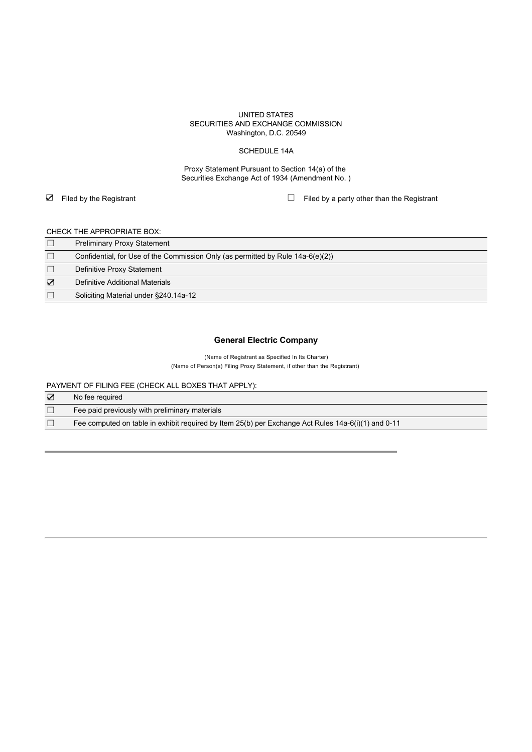### UNITED STATES SECURITIES AND EXCHANGE COMMISSION Washington, D.C. 20549

### SCHEDULE 14A

Proxy Statement Pursuant to Section 14(a) of the Securities Exchange Act of 1934 (Amendment No. )

☑ Filed by the Registrant ☐ Filed by a party other than the Registrant

## CHECK THE APPROPRIATE BOX:

|   | <b>Preliminary Proxy Statement</b>                                                 |
|---|------------------------------------------------------------------------------------|
|   | Confidential, for Use of the Commission Only (as permitted by Rule $14a-6(e)(2)$ ) |
|   | Definitive Proxy Statement                                                         |
| ☑ | Definitive Additional Materials                                                    |
|   | Soliciting Material under §240.14a-12                                              |

# **General Electric Company**

(Name of Registrant as Specified In Its Charter) (Name of Person(s) Filing Proxy Statement, if other than the Registrant)

PAYMENT OF FILING FEE (CHECK ALL BOXES THAT APPLY):

| ☑ | No fee reguired                                                                                     |
|---|-----------------------------------------------------------------------------------------------------|
|   | Fee paid previously with preliminary materials                                                      |
|   | Fee computed on table in exhibit required by Item 25(b) per Exchange Act Rules 14a-6(i)(1) and 0-11 |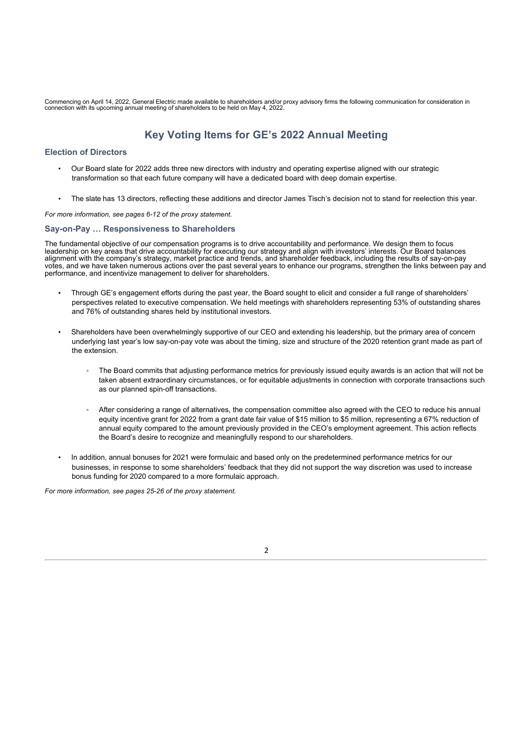Commencing on April 14, 2022, General Electric made available to shareholders and/or proxy advisory firms the following communication for consideration in<br>connection with its upcoming annual meeting of shareholders to be h

# **Key Voting Items for GE's 2022 Annual Meeting**

## **Election of Directors**

- Our Board slate for 2022 adds three new directors with industry and operating expertise aligned with our strategic transformation so that each future company will have a dedicated board with deep domain expertise.
- The slate has 13 directors, reflecting these additions and director James Tisch's decision not to stand for reelection this year.

*For more information, see pages 6-12 of the proxy statement.*

## **Say-on-Pay … Responsiveness to Shareholders**

The fundamental objective of our compensation programs is to drive accountability and performance. We design them to focus leadership on key areas that drive accountability for executing our strategy and align with investors' interests. Our Board balances alignment with the company's strategy, market practice and trends, and shareholder feedback, including the results of say-on-pay votes, and we have taken numerous actions over the past several years to enhance our programs, strengthen the links between pay and performance, and incentivize management to deliver for shareholders.

- Through GE's engagement efforts during the past year, the Board sought to elicit and consider a full range of shareholders' perspectives related to executive compensation. We held meetings with shareholders representing 53% of outstanding shares and 76% of outstanding shares held by institutional investors.
- Shareholders have been overwhelmingly supportive of our CEO and extending his leadership, but the primary area of concern underlying last year's low say-on-pay vote was about the timing, size and structure of the 2020 retention grant made as part of the extension.
	- The Board commits that adjusting performance metrics for previously issued equity awards is an action that will not be taken absent extraordinary circumstances, or for equitable adjustments in connection with corporate transactions such as our planned spin-off transactions.
	- After considering a range of alternatives, the compensation committee also agreed with the CEO to reduce his annual equity incentive grant for 2022 from a grant date fair value of \$15 million to \$5 million, representing a 67% reduction of annual equity compared to the amount previously provided in the CEO's employment agreement. This action reflects the Board's desire to recognize and meaningfully respond to our shareholders.
- In addition, annual bonuses for 2021 were formulaic and based only on the predetermined performance metrics for our businesses, in response to some shareholders' feedback that they did not support the way discretion was used to increase bonus funding for 2020 compared to a more formulaic approach.

*For more information, see pages 25-26 of the proxy statement.*